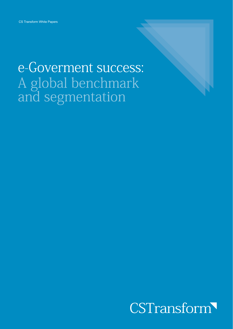# e-Goverment success: A global benchmark<br>and segmentation

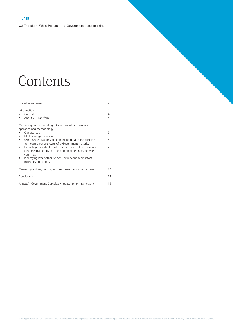# Contents

| Executive summary                                                                                                              | 2           |
|--------------------------------------------------------------------------------------------------------------------------------|-------------|
| Introduction<br>Context<br>About CS Transform                                                                                  | 4<br>4<br>4 |
| Measuring and segmenting e-Government performance:<br>approach and methodology                                                 | 5           |
| Our approach                                                                                                                   | 5           |
| Methodology overview                                                                                                           | 6           |
| Using United Nations benchmarking data as the baseline<br>to measure current levels of e-Government maturity                   | 6           |
| Evaluating the extent to which e-Government performance<br>can be explained by socio-economic differences between<br>countries | 7           |
| Identifying what other (ie non socio-economic) factors<br>might also be at play                                                | 9           |
| Measuring and segmenting e-Government performance: results                                                                     | 12          |
| Conclusions                                                                                                                    | 14          |
| Annex A: Government Complexity measurement framework                                                                           | 15          |

@ All rights reserved. CS Transform 2010. All trademarks and registered trademarks are acknowledged. We reserve the right to amend the contents of this document at any time. Publication date 07/06/10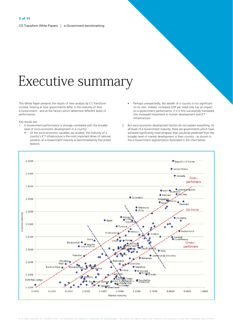# Executive summary

This White Paper presents the results of new analysis by CS Transform Limited, looking at how governments differ in the maturity of their e-Government - and at the factors which determine different levels of performance.

Key results are:

- E-Government performance is strongly correlated with the broader  $\mathbf{1}$ level of socio-economic development in a country:
	- Of the socio-economic variables we studied, the maturity of a country's ICT infrastructure is the most important driver of national variation on e-Government maturity as benchmarked by the United Nations.
- Perhaps unexpectedly, the wealth of a country is not significant on its own. Indeed, increased GDP per head only has an impact on e-government performance if it is first successfully translated into increased investment in human development and ICT infrastructure.
- 2 But socio-economic development factors do not explain everything. At all levels of e-Government maturity, there are governments which have achieved significantly more progress than would be predicted from the broader level of market development in their country - as shown in the e-Government segmentation illustrated in the chart below.

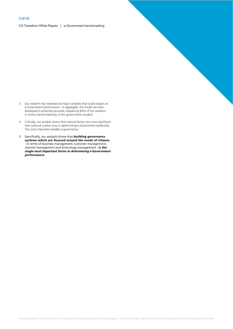- 3 Our research has reviewed six major variables that could impact on e-Government performance. In aggregate, the model we have developed is extremely accurate, explaining 84% of the variation in Online Service Maturity of the governments studied.
- Critically, our analysis shows that internal factors are more significant  $\overline{4}$ than external market ones in determining e-Government leadership. The most important variable is governance.
- $5\overline{)}$ Specifically, our analysis shows that **building governance** systems which are focused around the needs of citizens - in terms of business management, customer management, channel management and technology management - is the single most important factor in determining e-Government performance.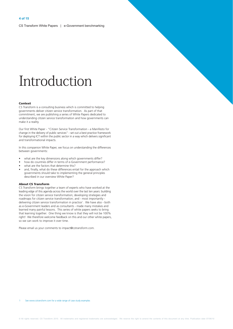# Introduction

#### Context

CS Transform is a consulting business which is committed to helping governments deliver citizen service transformation. As part of that commitment, we are publishing a series of White Papers dedicated to understanding citizen service transformation and how governments can make it a reality.

Our first White Paper - "Citizen Service Transformation - a Manifesto for change in the delivery of public services" - set out a best practice framework for deploying ICT within the public sector in a way which delivers significant and transformational impacts.

In this companion White Paper, we focus on understanding the differences between governments:

- what are the key dimensions along which governments differ?
- how do countries differ in terms of e-Government performance?
- what are the factors that determine this?
- and, finally, what do these differences entail for the approach which governments should take to implementing the general principles described in our overview White Paper?

#### **About CS Transform**

CS Transform brings together a team of experts who have worked at the leading edge of this agenda across the world over the last ten years: building the vision for citizen service transformation; developing strategies and roadmaps for citizen service transformation; and - most importantly delivering citizen service transformation in practice<sup>1</sup>. We have also - both as e-Government leaders and as consultants - made many mistakes and learned many painful lessons. This series of white papers seeks to bring that learning together. One thing we know is that they will not be 100% right! We therefore welcome feedback on this and our other white papers, so we can work to improve it over time.

Please email us your comments to impact@cstransform.com.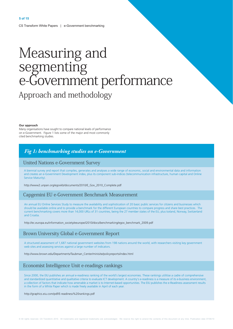# Measuring and segmenting<br>e-Government performance Approach and methodology

#### Our approach

Many organisations have sought to compare national levels of performance on e-Government. Figure 1 lists some of the major and most commonly cited benchmarking studies

#### Fig 1: benchmarking studies on e-Government

#### **United Nations e-Government Survey**

A biennial survey and report that compiles, generates and analyses a wide range of economic, social and environmental data and information and creates an e-Government Development index, plus its component sub-indices (telecommunication infrastructure, human capital and Online Service Maturity).

http://www2.unpan.org/egovkb/documents/2010/E\_Gov\_2010\_Complete.pdf

#### Capgemini EU e-Government Benchmark Measurement

An annual EU Online Services Study to measure the availability and sophistication of 20 basic public services for citizens and businesses which should be available online and to provide a benchmark for the different European countries to compare progress and share best practices. The current benchmarking covers more than 14,000 URLs of 31 countries, being the 27 member states of the EU, plus Iceland, Norway, Switzerland and Croatia.

http://ec.europa.eu/information\_society/eeurope/i2010/docs/benchmarking/egov\_benchmark\_2009.pdf

#### Brown University Global e-Government Report

A structured assessment of 1,687 national government websites from 198 nations around the world, with researchers visiting key government web sites and assessing services against a large number of indicators.

http://www.brown.edu/Departments/Taubman\_Center/minisite/policyreports/index.html

#### Economist Intelligence Unit e-readings rankings

Since 2000, the EIU publishes an annual e-readiness ranking of the world's largest economies. These rankings utilitise a cadre of comprehensive and standardized quantitative and qualitative criteria to evaluate ICT development. A country's e-readiness is a measure of its e-business environment, a collection of factors that indicate how amenable a market is to Internet-based opportunities. The EIU publishes the e-Readiness assessment results in the form of a White Paper which is made freely available in April of each year

#### http://graphics.eiu.com/pdf/E-readiness%20rankings.pdf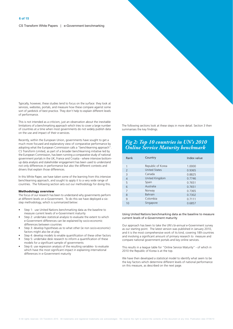Typically, however, these studies tend to focus on the surface: they look at services, websites, portals, and measure how these compare against some sort of vardstick of best practice. They don't help to explain different levels of performance.

This is not intended as a criticism, just an observation about the inevitable limitations of a benchmarking approach which tries to cover a large number of countries at a time when most governments do not widely publish data on the use and impact of their e-services.

Recently, within the European Union, governments have sought to get a much more focused and explanatory view of comparative performance by adopting what the European Commission calls a "benchlearning approach". CS Transform Limited, as part of a broader benchlearning initiative led by the European Commission, has been running a comparative study of national government portals in the UK, France and Croatia - where intensive bottomup data analysis and stakeholder engagement has been used to understand not only differences in performance but also the different contexts and drivers that explain those differences.

In this White Paper, we have taken some of the learning from this intensive benchlearning approach, and sought to apply it to a very wide range of countries. The following section sets out our methodology for doing this.

#### **Methodology overview**

The focus of our research has been to understand why governments perform at different levels on e-Government. To do this we have deployed a sixstep methodology, which is summarized below:

- Step 1: use United Nations benchmarking data as the baseline to measure current levels of e-Government maturity
- Step 2: undertake statistical analysis to evaluate the extent to which e-Government differences can be explained by socio-economic differences between countries
- Step 3: develop hypotheses as to what other (ie non socio-economic) factors might also be at play
- Step 4: develop models to enable quantification of these other factors
- Step 5: undertake desk research to inform a quantification of these models for a significant sample of governments
- Step 6: use regression analysis of the resulting variables- to evaluate which have the most significant impact in explaining international differences in e-Government maturity

The following sections look at these steps in more detail. Section 3 then summarises the key findings.

### **Fig 2: Top 10 countries in UN's 2010**<br>Online Service Maturity benchmark

| Rank                     | Country              | Index value |
|--------------------------|----------------------|-------------|
| 1                        | Republic of Korea    | 1.0000      |
| $\overline{\phantom{0}}$ | <b>United States</b> | 0.9365      |
| 3                        | Canada               | 0.8825      |
| $\overline{4}$           | United Kingdom       | 0.7746      |
| 5                        | Spain                | 0.7651      |
| 6                        | Australia            | 0.7651      |
| 7                        | Norway               | 0.7365      |
| 8                        | <b>Bahrain</b>       | 0.7302      |
| 9                        | Colombia             | 0.7111      |
| 10                       | Singapore            | 0.6857      |

#### Using United Nations benchmarking data as the baseline to measure current levels of e-Government maturity

Our approach has been to take the UN's bi-annual e-Government survey as our starting point. The latest version was published in January 2010, and it is the most comprehensive work of its kind, covering 189 countries and involving a significant amount of primary research to measure and compare national government portals and key online services.

This results in a league table for "Online Service Maturity" - of which in 2010 the Republic of Korea is at the top.

We have then developed a statistical model to identify what seem to be the key factors which determine different levels of national performance on this measure, as described on the next page.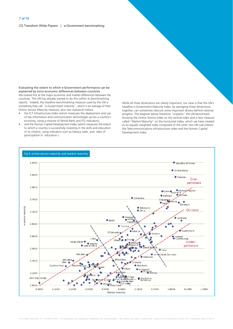CS Transform White Papers | e-Government benchmarking

Evaluating the extent to which e-Government performance can be explained by socio-economic differences between countries We looked first at the major economic and market differences between the countries. The UN has already started to do this within its benchmarking reports. Indeed, the headline benchmarking measure used by the UN is something they call: "e-Government maturity", which is an average of their Online Service Maturity measure, plus two statistical indices:

- the ICT Infrastructure Index (which measures the deployment and use of key information and communication technologies across a country's economy, using a mixture of World Bank and ITU indicators)
- and the Human Capital Development Index (which measures the extent to which a country is successfully investing in the skills and education of its citizens, using indicators such as literacy rates, and rates of participation in education).

While all three dimensions are clearly important, our view is that the UN's headline e-Government Maturity Index, by averaging these dimensions together, can sometimes obscure some important drivers behind national progress. The diagram below therefore "unpacks" the UN benchmark, showing the Online Service Index on the vertical index and a new measure called "Market Maturity" on the horizontal index, which we have created as an equally weighted index composed of the other two UN sub-indices: the Telecommunications Infrastructure index and the Human Capital Development index.

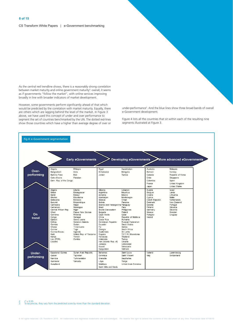CS Transform White Papers | e-Government benchmarking

As the central red trendline shows, there is a reasonably strong correlation between market maturity and online government maturity<sup>2</sup>: overall, it seems as if governments "follow the market", with online services improving broadly in line with broader indicators of market development.

However, some governments perform significantly ahead of that which would be predicted by the correlation with market maturity. Equally, there are others which are lagging behind the level of the market. In Figure 3 above, we have used this concept of under and over performance to segment the set of countries benchmarked by the UN. The dotted red-lines show those countries which have a higher than average degree of over or

under-performance<sup>3</sup>. And the blue lines show three broad bands of overall e-Government development.

Figure 4 lists all the countries that sit within each of the resulting nine segments illustrated at Figure 3.

| Fig 4: e-Government segmentation |  |
|----------------------------------|--|
|----------------------------------|--|

|                                                                                                                                                                                                                                               | <b>Early eGovernments</b>                                                                                                                                                                                                                          |                                                                                                                                                                                                                                                                                                                                                                                   | <b>Developing eGovernments</b>                                                                                                                                                                                                                                                                                                                                        |                                                                                                                                       | More advanced eGovernments                                                                                                    |
|-----------------------------------------------------------------------------------------------------------------------------------------------------------------------------------------------------------------------------------------------|----------------------------------------------------------------------------------------------------------------------------------------------------------------------------------------------------------------------------------------------------|-----------------------------------------------------------------------------------------------------------------------------------------------------------------------------------------------------------------------------------------------------------------------------------------------------------------------------------------------------------------------------------|-----------------------------------------------------------------------------------------------------------------------------------------------------------------------------------------------------------------------------------------------------------------------------------------------------------------------------------------------------------------------|---------------------------------------------------------------------------------------------------------------------------------------|-------------------------------------------------------------------------------------------------------------------------------|
| Angola<br>Over-<br>Bangladesh<br>performing<br>Burkina Faso<br>Cote d'Ivoire                                                                                                                                                                  | Ethiopia<br>India<br>Mali<br>Pakistan<br>Dem. Rep. of the Congo                                                                                                                                                                                    | Egypt<br>El Salvador<br>Jordan                                                                                                                                                                                                                                                                                                                                                    | Kazakhstan<br>Mongolia<br>Tunisia                                                                                                                                                                                                                                                                                                                                     | Australia<br>Bahrain<br>Canada<br>Chile<br>Colombia<br>France<br>Japan                                                                | Malaysia<br>Norway<br>Republic of Korea<br>Singapore<br>Spain<br>United Kingdom<br><b>United States</b>                       |
| Algeria<br>Belize<br>Benin<br>Bhutan<br>Botswana<br>Burundi<br>Cambodia<br>Cameroon<br>Chad<br>On<br>Comoros<br>Congo<br>trend<br>Djibouti<br>Eritrea<br>Gambia<br>Ghana<br>Guinea<br>Guinea-Bissau<br>Haiti<br>Kenya<br>Lao (PDR)<br>Lesotho | Liberia<br>Madagascar<br>Malawi<br>Mauritania<br>Morocco<br>Mozambique<br>Nepal<br>Nicaragua<br>Central African Rep.<br>Niger<br>Rwanda<br>Senegal<br>Sierra Leone<br>Solomon Islands<br>Sudan<br>Timor-Leste<br>Togo<br>Uganda<br>Yemen<br>Zambia | Albania<br>Argentina<br>Armenia<br>Azerbaijan<br><b>Belarus</b><br>Bolivia<br>Brazil<br>Brunei Darussalam<br>Papua New Guinea<br><b>Bulgaria</b><br>Cape Verde<br>China<br>Costa Rica<br>Dominican Republic<br>Ecuador<br>Fiji<br>Georgia<br>Guatemala<br>United Rep. of Tanzania<br>Guvana<br>Honduras<br>Indonesia<br>Iran (Islamic Rep. of)<br>Jamaica<br>Kuwait<br>Kyrgyzstan | Lebanon<br><b>Mauritius</b><br>Mexico<br>Montenegro<br>Oman<br>Panama<br>Bosnia and Herzegovina Paraguay<br>Peru<br>Philippines<br>Poland<br>Qatar<br>Republic of Moldova<br>Romania<br><b>Russian Federation</b><br>Saudi Arabia<br>Serbia<br>South Africa<br>Sri Lanka<br>T.F.Y.R. Macedonia<br>Thailand<br>Turkey<br>Ukraine<br>Uzbekistan<br>Venezuela<br>Vietnam | Austria<br>Belgium<br>Croatia<br>Cyprus<br>Czech Republic<br>Denmark<br>Estonia<br>Finland<br>Germany<br>Greece<br>Hungary<br>Ireland | Israel<br>Latvia<br>Lithuania<br>Malta<br>Netherlands<br>New Zealand<br>Portugal<br>Slovakia<br>Slovenia<br>Sweden<br>Uruguay |
| Equatorial Guinea<br>Under-<br>Gabon<br>performing<br>Namibia<br>Suriname<br>Swaziland                                                                                                                                                        | Tajikistan<br>Turkmenistan<br>Vanuatu                                                                                                                                                                                                              | Syrian Arab Republic<br><b>Bahamas</b><br>Dominica<br>Grenada<br>Libya<br>Maldives<br>Saint Kitts and Nevis                                                                                                                                                                                                                                                                       | Saint Lucia<br>Saint Vincent<br>Seychelles<br>Tonga<br><b>United Arab Emirates</b>                                                                                                                                                                                                                                                                                    | Iceland<br>Italy                                                                                                                      | Luxembourg<br>Switzerland                                                                                                     |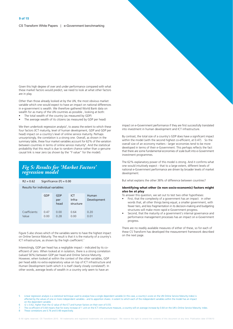Given this high degree of over and under performance compared with what these market factors would predict, we need to look at what other factors are in play.

Other than those already looked at by the UN, the most obvious market variable which one would expect to have an impact on national differences in e-government is wealth. We therefore gathered World Bank data on wealth for as many of the UN countries as possible, looking at both:

- The total wealth of the country (as measured by GDP)
- The average wealth of its citizens (as measured by GDP per head)

We then undertook regression analysis<sup>5</sup>, to assess the extent to which these four factors (ICT maturity, level of human development, GDP and GDP per head) impact on a country's level of online service maturity. Perhaps unsurprisingly, the correlation is a strong one. Overall, as shown in the summary table, these four market variables account for 62% of the variation between countries in terms of online service maturity<sup>6</sup>. And the statistical probability that this result is due to random chance rather than a genuine causal link is near zero (as shown by the "F value" for the model).

### **Fig 5: Results for 'Market Factors'**<br>regression model

| $RZ = 0.6Z$                       | Significance $(F) = 0.00$ |                    |                                   |                      |
|-----------------------------------|---------------------------|--------------------|-----------------------------------|----------------------|
| Results for individual variables: |                           |                    |                                   |                      |
|                                   | GDP                       | GDP<br>per<br>head | <b>ICT</b><br>Infra-<br>structure | Human<br>Development |
| Coefficients:<br>Value            | 0.47<br>0.00              | 0.00<br>0.28       | 0.64<br>0.00                      | 0.20<br>0.01         |

Figure 5 also shows which of the variables seems to have the highest impact on Online Service Maturity. The result is that it is the maturity of a country's ICT infrastructure, as shown by the high coefficient.<sup>7</sup>

Interestingly, GDP per head has a negligible impact - indicated by its coefficient of zero. When looked at in isolation, there is a strong correlation (valued 56%) between GDP per head and Online Service Maturity. However, when looked at within the context of the other variables, GDP per head adds no extra explanatory value on top of ICT infrastructure and Human Development (with which it is itself clearly closely correlated<sup>8</sup>). In other words, average levels of wealth in a country only seem to have an

impact on e-Government performance if they are first successfully translated into investment in human development and ICT infrastructure.

By contrast, the total size of a country's GDP does have a significant impact within the model (with the second highest co-efficient, at 0.47). So the overall size of an economy matters - larger economies tend to be more developed in terms of their e-Government. This perhaps reflects the fact that there are some fundamental economies of scale built into e-Government investment programmes.

The 62% explanatory power of this model is strong. And it confirms what one would intuitively expect - that to a large extent, different levels of national e-Government performance are driven by broader levels of market development.

But what explains the other 38% of difference between countries?

#### Identifying what other (ie non socio-economic) factors might also be at play

To answer this question, we set out to test two other hypotheses:

- First, that the complexity of a government has an impact: in other words that, all other things being equal, a smaller government, with fewer tiers, and less fragmentation in its decision-making and budgeting structures will make more rapid e-Government progress.
- Second, that the maturity of a government's internal governance and performance management processes has an impact on e-Government progress.

There are no readily available measures of either of these, so for each of these CS Transform has developed the measurement framework described on the next page.

Linear regression analysis is a statistical technique used to analyse how a single dependent variable (in this case, a country's score on the UN Online Service Maturity index) is affected by the values of one or more independent variables - and to apportion shares in extent to which each of the independent variables within the model has an impact on the dependent variable

- $r2 = 0.62$ , higher than the r2 value of the ICT and human factors on their own of 0.55.
- The co-efficient of 0.64 means that for every increase of 1 unit on the ICT infrastructure measure, a country will on average increase by 0.64 on the UN's Online Service Maturity index. These correlations are 0.76 and 0.48 respectively.  $\mathbf{g}$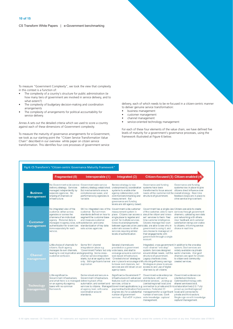CS Transform White Papers | e-Government benchmarking

To measure "Government Complexity", we took the view that complexity in this context is a function of:

- The complexity of a country's structure for public administration (ie how many tiers of government are involved in service delivery, and to what extent?)
- The complexity of budgetary decision-making and coordination arrangements
- The complexity of arrangements for political accountability for service delivery.

Annex A sets out the detailed criteria which we used to score a country against each of these dimensions of Government complexity.

To measure the maturity of governance arrangements for e-Government, we took as our starting point the "Citizen Service Transformation Value Chain" described in our overview white paper on citizen service transformation. This identifies four core processes of government service

delivery, each of which needs to be re-focused in a citizen-centric manner to deliver genuine service transformation:

- business management
- $\bullet$ customer management
- $\bullet$ channel management
- service-oriented technology management  $\bullet$

For each of these four elements of the value chain, we have defined five levels of maturity for a government's governance processes, using the framework illustrated at Figure 6 below.

#### Fig 6: CS Transform's "Citizen-centric Governance Maturity Framework"

|                                 | <b>Fragmented (0)</b>                                                                                                                                                                                                                                                    | Interoperable (1)                                                                                                                                                                                                            | Integrated (2)                                                                                                                                                                                                                                                                                                                                           |                                                                                                                                                                                                                                                                                                                                                                                        | Citizen-focused (3) Citizen-enabled (4)                                                                                                                                                                                         |
|---------------------------------|--------------------------------------------------------------------------------------------------------------------------------------------------------------------------------------------------------------------------------------------------------------------------|------------------------------------------------------------------------------------------------------------------------------------------------------------------------------------------------------------------------------|----------------------------------------------------------------------------------------------------------------------------------------------------------------------------------------------------------------------------------------------------------------------------------------------------------------------------------------------------------|----------------------------------------------------------------------------------------------------------------------------------------------------------------------------------------------------------------------------------------------------------------------------------------------------------------------------------------------------------------------------------------|---------------------------------------------------------------------------------------------------------------------------------------------------------------------------------------------------------------------------------|
| <b>Business</b><br>management   | No Government-wide service Government wide service<br>delivery strategy. Services<br>managed independently by<br>separate agencies. No<br>sharing of channels or<br>infrastructure.                                                                                      | delivery strategy established.<br>But mechanisms to ensure<br>compliance are weak, and<br>performance by agencies is<br>variable                                                                                             | Service strategy is now<br>underpinned by coordination<br>systems to enable inter<br>agency collaboration, with<br>common benchmarking and<br>measurement. But<br>governance and funding<br>levers are still agency based.                                                                                                                               | Governance and funding<br>systems have been<br>transformed to focus around<br>needs of the customer not the overall strategy. Real-time<br>structure of government.                                                                                                                                                                                                                    | Governance and funding<br>systems now in place to give<br>citizens direct influence over<br>feedback loops are in place to<br>drive service improvement.                                                                        |
| <b>Customer</b><br>management   | No integrated view of the<br>customer, either across<br>agencies or across the<br>channels of an individual<br>agency. Personal data is<br>managed in agency silos, with satisfaction, and some<br>authentication for e-services<br>done separately for each<br>service. | Still no integrated view of the Government-wide customer<br>customer. But common<br>standards defined on how to<br>segment the customer base<br>and measure customer<br>standardization of key data<br>sets across agencies. | measurement system in<br>place. Citizens can access a<br>single place to register and<br>enroll for multiple services.<br>Cross-trust arrangements<br>between agencies allow users data, are able to see who in<br>automatic access to other<br>services requiring similar<br>levels of authentication.                                                  | Government has a single view Citizens are able to create<br>of the customer, able to learn services through government<br>about the citizen and 'cross-<br>sell' services to them. Real<br>time customer intelligence.<br>Citizens manage their own<br>government is using it, and<br>can choose to manage all of<br>their engagements with<br>government through a single<br>account. | channels, uploading own data<br>and networking with others.<br>User feedback and customer<br>satisfaction ratings are visible<br>to citizens, informing service<br>choice in real time.                                         |
| <b>Channel</b><br>management    | Little choice of channels for<br>citizens. Each agency<br>manages its own channels.<br>leading to cost duplication and signposting. Some cross-<br>customer confusion.                                                                                                   | Some 'thin' channel<br>integration in place e.g.<br>'Government Portals' but only wide basis, and start to<br>channel service integration<br>starts, but at an agency level<br>duplication.                                  | Several channels are<br>provided on a government<br>converge around a common<br>web-based infrastructure.<br>"Directed choice" strategies<br>only. Still significant channel are in place to encourage shiftunlocking efficiency savings<br>to lower cost channels, but<br>services are still driven on an access to and use of digital<br>agency basis. | Integrated, cross-government, In addition to the one-stop<br>multi-channel "one stop"<br>system. Services designed<br>around citizen needs, not the sector channels. And govt<br>structure of government<br>Legacy channels close.<br>Strategies in place to ensure<br>channels by all citizens.                                                                                       | system, Govt services are<br>widely available via private<br>channels are open for citizen-<br>to-citizen and community-<br>created services.                                                                                   |
| <b>Technology</b><br>management | Little significant e-<br>Government infrastructure.<br>and what there is is managed delivering back office<br>on an agency-by-agency<br>basis with no common<br>framework.                                                                                               | Some robust and secure e-<br>Government infrastructure,<br>automation, and content and services, critical e-<br>at agency level, with some<br>coordination around<br>standards.                                              | Significant e-Government IT<br>infrastructure with advanced<br>features such as transactional shared services. Joining-up<br>payment/authentication/ formssectors. Federated ID<br>number of government<br>services. Full eGIF in place. wide knowledge capture/                                                                                         | Government-wide enterprise<br>architecture, with some<br>(central/regional/local) and<br>services to citizens. Managed Government applications (e.g. connection to private and thirdcollaboration/web 2.0. Fully<br>engines etc) for a substantial management for a significant local) and connected to<br>number of services. Govt-<br>management.                                    | Government-wide service<br>oriented architecture.<br>Optimised technology with<br>shared services/cloud.<br>joined-up (central/regional/<br>private and third sectors.<br>Single sign-on with knowledge<br>capture/ management. |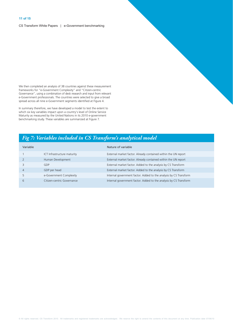CS Transform White Papers | e-Government benchmarking

We then completed an analysis of 38 countries against these measurement Frameworks for "e-Government Complexity" and "Citizen-centric<br>Governance", using a combination of desk research and input from relevant e-Government professionals. The countries were selected to give a broad spread across all nine e-Government segments identified at Figure 4.

In summary therefore, we have developed a model to test the extent to which six key variables impact upon a country's level of Online Service Maturity as measured by the United Nations in its 2010 e-government benchmarking study. These variables are summarized at Figure 7.

#### Fig 7: Variables included in CS Transform's analytical model

| Variable |                             | Nature of variable                                                |
|----------|-----------------------------|-------------------------------------------------------------------|
|          | ICT Infrastructure maturity | External market factor. Already contained within the UN report    |
|          | Human Development           | External market factor. Already contained within the UN report    |
|          | GDP                         | External market factor. Added to the analysis by CS Transform     |
|          | GDP per head                | External market factor. Added to the analysis by CS Transform     |
|          | e-Government Complexity     | Internal government factor. Added to the analysis by CS Transform |
| 6        | Citizen-centric Governance  | Internal government factor. Added to the analysis by CS Transform |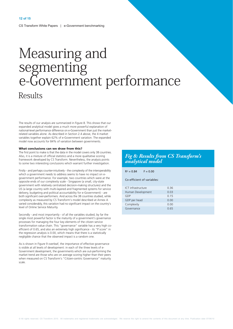# Measuring and<br>segmenting<br>e-Government performance **Results**

The results of our analysis are summarized in Figure 8. This shows that our expanded analytical model gives a much more powerful explanation of national-level performance difference on e-Government than just the marketrelated variables alone. As described in Section 2.4 above, the 4 market variables together explain 62% of e-Government variation. The expanded model now accounts for 84% of variation between governments.

#### What conclusions can we draw from this?

The first point to make is that the data in the model covers only 38 countries. Also, it is a mixture of official statistics and a more qualitative scoring framework developed by CS Transform. Nevertheless, the analysis points to some two interesting conclusions which warrant further investigation.

Firstly - and perhaps counter-intuitively - the complexity of the interoperability which a government needs to address seems to have no impact on egovernment performance. For example, two countries which were at the opposite ends of our complexity scale - Singapore (a small, city-state government with relatively centralized decision-making structures) and the US (a large country with multi-layered and fragmented systems for service delivery, budgeting and political accountability for e-Government) - are both significant over-performers. And across the 38 countries studied, while complexity as measured by CS Transform's model described at Annex A varied considerably, this variation had no significant impact on the country's level of Online Service Maturity.

Secondly - and most importantly - of all the variables studied, by far the single most powerful factor is the maturity of a government's governance processes for managing the four key elements of the citizen service transformation value chain. This "governance" variable has a very high coefficient of 0.65, and also an extremely high significance - its "P score" in the regression analysis is 0.00, which means that there is a statistically negligible chance that the observed impact is a random one

As is shown in Figure 9 overleaf, the importance of effective governance is visible at all levels of development: in each of the three levels of e-Government development, the governments which are out-performing the market trend are those who are on average scoring higher than their peers when measured on CS Transform's "Citizen-centric Governance" maturity scale.

#### Fig 8: Results from CS Transform's analytical model

| $R^2 = 0.84$<br>$F = 0.00$ |      |
|----------------------------|------|
| Co-efficient of variables: |      |
| ICT infrastructure         | 0.36 |
| Human Development          | 0.03 |
| GDP                        | 0.15 |
| GDP per head               | 0.00 |
| Complexity                 | 0.00 |
| Governance                 | 0.65 |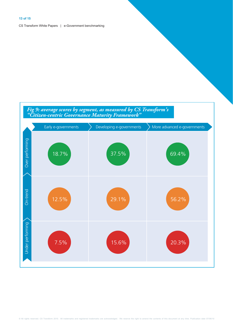# Fig 9: average scores by segment, as measured by CS Transform's<br>"Citizen-centric Governance Maturity Framework"

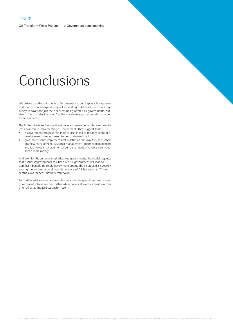# Conclusions

We believe that the work done so far presents a strong in-principle argument that the UN should explore ways of expanding its biennial benchmarking survey to cover not just the e-services being offered by governments, but also to "look under the hood" at the governance processes which shape those e-services.

The findings to date offer significant hope for governments who are currently less advanced in implementing e-Government. They suggest that:

- e-Government progress, while of course linked to broader economic development, does not need to be constrained by it
- governments that implement best practices in the way they focus their business management, customer management, channel management and technology management around the needs of citizens can move ahead more rapidly.

And even for the currently most advanced governments, the model suggests that further improvements to citizen-centric government will lead to significant benefit: no single government among the 38 studied is currently scoring the maximum on all four dimensions of CS Transform's "Citizencentric Governance" maturity framework.

For further advice on what doing this means in the specific context of your government, please see our further white papers at www.cstransform.com, or email us at impact@cstransform.com.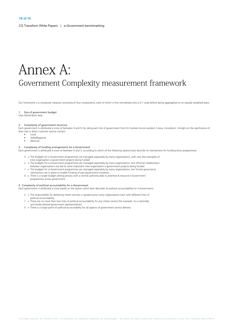## Annex A: Government Complexity measurement framework

Our framework is a composite measure consisting of four components, each of which is first normalised onto a 0-1 scale before being aggregated on an equally weighted basis:

#### 1. Size of government budget

Uses World Bank data

#### 2. Complexity of government structure

Each government is attributed a score of between 0 and 9, by rating each tier of government from 0-3 (where 0=non-existent,1=low, 2=medium, 3=high) on the significance of their role in direct customer service contact:

- Local  $\bullet$
- $\overline{a}$ State/Regional
- National

#### 3. Complexity of funding arrangements for e-Government

Each government is attributed a score of between 0 and 3, according to which of the following options best describe its mechanisms for funding eGov programmes:

- 3 = The budgets for e-Government programmes are managed separately by many organisations, with very few examples of inter-organisation e-government projects being funded
- 2 = The budgets for e-Government programmes are managed separately by many organisations, but informal collaboration between organisations has led to some important inter-organisation e-government projects being funded
- 1 = The budgets for e-Government programmes are managed separately by many organisations, but formal governance<br>mechanisms are in place to enable funding of pan-government initiatives
- 0 = There is a single budget setting process with a central authority able to prioritise & resource e-Government programmes across government

#### 4 Complexity of political accountability for e-Government

- Each government is attributed a score based on the option which best describes its political accountability for e-Government:
	- 2 = The responsibility for delivering citizen services is spread across many organisations each with different lines of political accountability
		- = There are no more than two lines of political accountability for any citizen service (for example, to a nationally and locally elected government representatives)
	- $0 =$  There is a single point of political accountability for all aspects of government service delivery